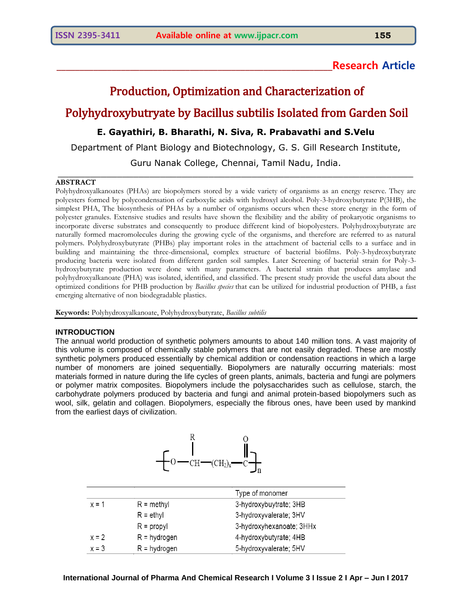# **\_\_\_\_\_\_\_\_\_\_\_\_\_\_\_\_\_\_\_\_\_\_\_\_\_\_\_\_\_\_\_\_\_\_\_\_\_\_\_\_\_\_\_\_\_\_\_\_\_\_\_\_\_\_\_\_\_\_\_\_Research Article**

# Production, Optimization and Characterization of

# Polyhydroxybutryate by Bacillus subtilis Isolated from Garden Soil

# **E. Gayathiri, B. Bharathi, N. Siva, R. Prabavathi and S.Velu**

Department of Plant Biology and Biotechnology, G. S. Gill Research Institute,

Guru Nanak College, Chennai, Tamil Nadu, India.  $\_$  , and the set of the set of the set of the set of the set of the set of the set of the set of the set of the set of the set of the set of the set of the set of the set of the set of the set of the set of the set of th

# **ABSTRACT**

Polyhydroxyalkanoates (PHAs) are biopolymers stored by a wide variety of organisms as an energy reserve. They are polyesters formed by polycondensation of carboxylic acids with hydroxyl alcohol. Poly-3-hydroxybutyrate P(3HB), the simplest PHA, The biosynthesis of PHAs by a number of organisms occurs when these store energy in the form of polyester granules. Extensive studies and results have shown the flexibility and the ability of prokaryotic organisms to incorporate diverse substrates and consequently to produce different kind of biopolyesters. Polyhydroxybutyrate are naturally formed macromolecules during the growing cycle of the organisms, and therefore are referred to as natural polymers. Polyhydroxybutyrate (PHBs) play important roles in the attachment of bacterial cells to a surface and in building and maintaining the three-dimensional, complex structure of bacterial biofilms. Poly-3-hydroxybutyrate producing bacteria were isolated from different garden soil samples. Later Screening of bacterial strain for Poly-3 hydroxybutyrate production were done with many parameters. A bacterial strain that produces amylase and polyhydroxyalkanoate (PHA) was isolated, identified, and classified. The present study provide the useful data about the optimized conditions for PHB production by *Bacillus species* that can be utilized for industrial production of PHB, a fast emerging alternative of non biodegradable plastics.

**Keywords:** Polyhydroxyalkanoate, Polyhydroxybutyrate, *Bacillus subtilis*

# **INTRODUCTION**

The annual world production of synthetic polymers amounts to about 140 million tons. A vast majority of this volume is composed of chemically stable polymers that are not easily degraded. These are mostly synthetic polymers produced essentially by chemical addition or condensation reactions in which a large number of monomers are joined sequentially. Biopolymers are naturally occurring materials: most materials formed in nature during the life cycles of green plants, animals, bacteria and fungi are polymers or polymer matrix composites. Biopolymers include the polysaccharides such as cellulose, starch, the carbohydrate polymers produced by bacteria and fungi and animal protein-based biopolymers such as wool, silk, gelatin and collagen. Biopolymers, especially the fibrous ones, have been used by mankind from the earliest days of civilization.



|         |                                               | Type of monomer          |  |
|---------|-----------------------------------------------|--------------------------|--|
| $x = 1$ | 3-hydroxybuytrate; 3HB<br>$R = \text{methyl}$ |                          |  |
|         | $R = e^{\frac{1}{2}}$                         | 3-hydroxyvalerate; 3HV   |  |
|         | $R =$ propyl                                  | 3-hydroxyhexanoate; 3HHx |  |
| $x = 2$ | $R = hydrogen$                                | 4-hydroxybutyrate; 4HB   |  |
| $x = 3$ | $R = hydrogen$                                | 5-hydroxyvalerate; 5HV   |  |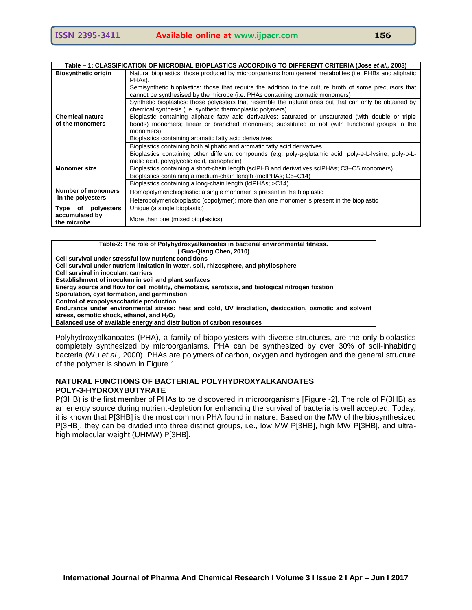| Table – 1: CLASSIFICATION OF MICROBIAL BIOPLASTICS ACCORDING TO DIFFERENT CRITERIA (Jose <i>et al.</i> , 2003)                   |                                                                                                                                                                                          |  |  |  |
|----------------------------------------------------------------------------------------------------------------------------------|------------------------------------------------------------------------------------------------------------------------------------------------------------------------------------------|--|--|--|
| <b>Biosynthetic origin</b>                                                                                                       | Natural bioplastics: those produced by microorganisms from general metabolites (i.e. PHBs and aliphatic<br>PHAs).                                                                        |  |  |  |
|                                                                                                                                  | Semisynthetic bioplastics: those that require the addition to the culture broth of some precursors that<br>cannot be synthesised by the microbe (i.e. PHAs containing aromatic monomers) |  |  |  |
|                                                                                                                                  | Synthetic bioplastics: those polyesters that resemble the natural ones but that can only be obtained by<br>chemical synthesis (i.e. synthetic thermoplastic polymers)                    |  |  |  |
| <b>Chemical nature</b>                                                                                                           | Bioplastic containing aliphatic fatty acid derivatives: saturated or unsaturated (with double or triple                                                                                  |  |  |  |
| bonds) monomers; linear or branched monomers; substituted or not (with functional groups in the<br>of the monomers<br>monomers). |                                                                                                                                                                                          |  |  |  |
|                                                                                                                                  | Bioplastics containing aromatic fatty acid derivatives<br>Bioplastics containing both aliphatic and aromatic fatty acid derivatives                                                      |  |  |  |
|                                                                                                                                  |                                                                                                                                                                                          |  |  |  |
| Bioplastics containing other different compounds (e.g. poly-q-glutamic acid, poly-e-L-lysine, poly-b-L-                          |                                                                                                                                                                                          |  |  |  |
|                                                                                                                                  | malic acid, polyglycolic acid, cianophicin)                                                                                                                                              |  |  |  |
| <b>Monomer size</b>                                                                                                              | Bioplastics containing a short-chain length (sclPHB and derivatives sclPHAs; C3–C5 monomers)                                                                                             |  |  |  |
|                                                                                                                                  | Bioplastics containing a medium-chain length (mcIPHAs; C6-C14)                                                                                                                           |  |  |  |
|                                                                                                                                  | Bioplastics containing a long-chain length (IcIPHAs; >C14)                                                                                                                               |  |  |  |
| <b>Number of monomers</b>                                                                                                        | Homopolymericbioplastic: a single monomer is present in the bioplastic                                                                                                                   |  |  |  |
| in the polyesters                                                                                                                | Heteropolymericbioplastic (copolymer): more than one monomer is present in the bioplastic                                                                                                |  |  |  |
| Type of polyesters                                                                                                               | Unique (a single bioplastic)                                                                                                                                                             |  |  |  |
| accumulated by<br>More than one (mixed bioplastics)<br>the microbe                                                               |                                                                                                                                                                                          |  |  |  |

#### **Table-2: The role of Polyhydroxyalkanoates in bacterial environmental fitness. ( Guo-Qiang Chen, 2010) Cell survival under stressful low nutrient conditions Cell survival under nutrient limitation in water, soil, rhizosphere, and phyllosphere Cell survival in inoculant carriers Establishment of inoculum in soil and plant surfaces Energy source and flow for cell motility, chemotaxis, aerotaxis, and biological nitrogen fixation Sporulation, cyst formation, and germination Control of exopolysaccharide production Endurance under environmental stress: heat and cold, UV irradiation, desiccation, osmotic and solvent**  stress, osmotic shock, ethanol, and H<sub>2</sub>O<sub>2</sub> **Balanced use of available energy and distribution of carbon resources**

Polyhydroxyalkanoates (PHA), a family of biopolyesters with diverse structures, are the only bioplastics completely synthesized by microorganisms. PHA can be synthesized by over 30% of soil-inhabiting bacteria (Wu *et al.,* 2000). PHAs are polymers of carbon, oxygen and hydrogen and the general structure of the polymer is shown in Figure 1.

# **NATURAL FUNCTIONS OF BACTERIAL POLYHYDROXYALKANOATES POLY-3-HYDROXYBUTYRATE**

P(3HB) is the first member of PHAs to be discovered in microorganisms [Figure -2]. The role of P(3HB) as an energy source during nutrient-depletion for enhancing the survival of bacteria is well accepted. Today, it is known that P[3HB] is the most common PHA found in nature. Based on the MW of the biosynthesized P[3HB], they can be divided into three distinct groups, i.e., low MW P[3HB], high MW P[3HB], and ultrahigh molecular weight (UHMW) P[3HB].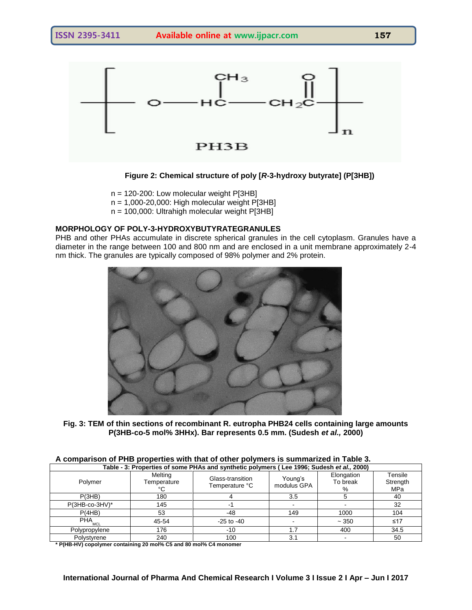

#### **Figure 2: Chemical structure of poly [***R***-3-hydroxy butyrate] (P[3HB])**

 $n = 120-200$ : Low molecular weight P[3HB]  $n = 1,000-20,000$ : High molecular weight P[3HB]

n = 100,000: Ultrahigh molecular weight P[3HB]

# **MORPHOLOGY OF POLY-3-HYDROXYBUTYRATEGRANULES**

PHB and other PHAs accumulate in discrete spherical granules in the cell cytoplasm. Granules have a diameter in the range between 100 and 800 nm and are enclosed in a unit membrane approximately 2-4 nm thick. The granules are typically composed of 98% polymer and 2% protein.



**Fig. 3: TEM of thin sections of recombinant R. eutropha PHB24 cells containing large amounts P(3HB-co-5 mol% 3HHx). Bar represents 0.5 mm. (Sudesh** *et al.,* **2000)**

| A comparison of PHB properties with that of other polymers is summarized in Table 3.      |
|-------------------------------------------------------------------------------------------|
| Table - 3: Properties of some PHAs and synthetic polymers (Lee 1996; Sudesh et al., 2000) |

| Table - J. Tropernes of some FriAs and synthetic polymers (Lee 1990, Judesn et al., Z000) |                        |                                    |                        |                             |                            |
|-------------------------------------------------------------------------------------------|------------------------|------------------------------------|------------------------|-----------------------------|----------------------------|
| Polymer                                                                                   | Melting<br>Temperature | Glass-transition<br>Temperature °C | Young's<br>modulus GPA | Elongation<br>To break<br>℅ | Tensile<br>Strength<br>MPa |
| P(3HB)                                                                                    | 180                    |                                    | 3.5                    |                             | 40                         |
| $P(3HB$ -co-3HV $)^*$                                                                     | 145                    |                                    |                        |                             | 32                         |
| P(4HB)                                                                                    | 53                     | -48                                | 149                    | 1000                        | 104                        |
| PHA <sub>MCL</sub>                                                                        | 45-54                  | $-25$ to $-40$                     |                        | $~1 - 350$                  | ≤17                        |
| Polypropylene                                                                             | 176                    | $-10$                              |                        | 400                         | 34.5                       |
| Polystyrene                                                                               | 240                    | 100                                | 3.1                    |                             | 50                         |

**\* P(HB-HV) copolymer containing 20 mol% C5 and 80 mol% C4 monomer**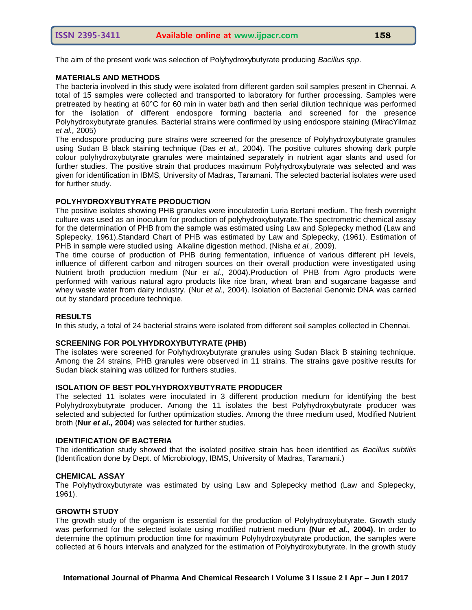The aim of the present work was selection of Polyhydroxybutyrate producing *Bacillus spp*.

#### **MATERIALS AND METHODS**

The bacteria involved in this study were isolated from different garden soil samples present in Chennai. A total of 15 samples were collected and transported to laboratory for further processing. Samples were pretreated by heating at 60°C for 60 min in water bath and then serial dilution technique was performed for the isolation of different endospore forming bacteria and screened for the presence Polyhydroxybutyrate granules. Bacterial strains were confirmed by using endospore staining (MiracYilmaz *et al.,* 2005)

The endospore producing pure strains were screened for the presence of Polyhydroxybutyrate granules using Sudan B black staining technique (Das *et al.,* 2004). The positive cultures showing dark purple colour polyhydroxybutyrate granules were maintained separately in nutrient agar slants and used for further studies. The positive strain that produces maximum Polyhydroxybutyrate was selected and was given for identification in IBMS, University of Madras, Taramani. The selected bacterial isolates were used for further study.

#### **POLYHYDROXYBUTYRATE PRODUCTION**

The positive isolates showing PHB granules were inoculatedin Luria Bertani medium. The fresh overnight culture was used as an inoculum for production of polyhydroxybutyrate.The spectrometric chemical assay for the determination of PHB from the sample was estimated using Law and Splepecky method (Law and Splepecky, 1961).Standard Chart of PHB was estimated by Law and Splepecky, (1961). Estimation of PHB in sample were studied using Alkaline digestion method, (Nisha *et al.,* 2009).

The time course of production of PHB during fermentation, influence of various different pH levels, influence of different carbon and nitrogen sources on their overall production were investigated using Nutrient broth production medium (Nur *et al.,* 2004).Production of PHB from Agro products were performed with various natural agro products like rice bran, wheat bran and sugarcane bagasse and whey waste water from dairy industry. (Nur *et al.,* 2004). Isolation of Bacterial Genomic DNA was carried out by standard procedure technique.

#### **RESULTS**

In this study, a total of 24 bacterial strains were isolated from different soil samples collected in Chennai.

#### **SCREENING FOR POLYHYDROXYBUTYRATE (PHB)**

The isolates were screened for Polyhydroxybutyrate granules using Sudan Black B staining technique. Among the 24 strains, PHB granules were observed in 11 strains. The strains gave positive results for Sudan black staining was utilized for furthers studies.

#### **ISOLATION OF BEST POLYHYDROXYBUTYRATE PRODUCER**

The selected 11 isolates were inoculated in 3 different production medium for identifying the best Polyhydroxybutyrate producer. Among the 11 isolates the best Polyhydroxybutyrate producer was selected and subjected for further optimization studies. Among the three medium used, Modified Nutrient broth (**Nur** *et al.,* **2004**) was selected for further studies.

#### **IDENTIFICATION OF BACTERIA**

The identification study showed that the isolated positive strain has been identified as *Bacillus subtilis* **(**Identification done by Dept. of Microbiology, IBMS, University of Madras, Taramani.)

#### **CHEMICAL ASSAY**

The Polyhydroxybutyrate was estimated by using Law and Splepecky method (Law and Splepecky, 1961).

#### **GROWTH STUDY**

The growth study of the organism is essential for the production of Polyhydroxybutyrate. Growth study was performed for the selected isolate using modified nutrient medium **(Nur** *et al.,* **2004)**. In order to determine the optimum production time for maximum Polyhydroxybutyrate production, the samples were collected at 6 hours intervals and analyzed for the estimation of Polyhydroxybutyrate. In the growth study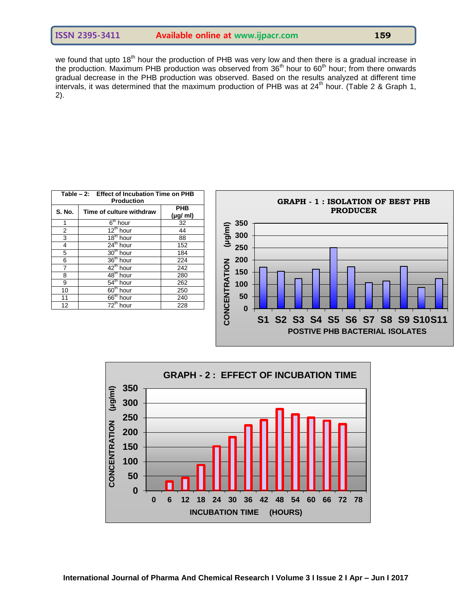we found that upto 18<sup>th</sup> hour the production of PHB was very low and then there is a gradual increase in the production. Maximum PHB production was observed from 36<sup>th</sup> hour to 60<sup>th</sup> hour; from there onwards gradual decrease in the PHB production was observed. Based on the results analyzed at different time intervals, it was determined that the maximum production of PHB was at  $24<sup>th</sup>$  hour. (Table 2 & Graph 1, 2).

|                         |                           | Table - 2: Effect of Incubation Time on PHB<br><b>Production</b> |                |
|-------------------------|---------------------------|------------------------------------------------------------------|----------------|
|                         | <b>PHB</b><br>$(\mu g/m)$ | Time of culture withdraw                                         | S. No.         |
| 350                     | 32                        | $6th$ hour                                                       |                |
|                         | 44                        | $12^{th}$ hour                                                   | $\overline{2}$ |
| (lug/ml)<br>300         | 88                        | $18th$ hour                                                      | 3              |
| 250                     | 152                       | 24 <sup>th</sup> hour                                            | 4              |
|                         | 184                       | $30th$ hour                                                      | 5              |
| 200                     | 224                       | 36 <sup>th</sup> hour                                            | 6              |
| 150                     | 242                       | $42^{\text{th}}$ hour                                            | 7              |
|                         | 280                       | $48th$ hour                                                      | 8              |
| 100                     | 262                       | $54th$ hour                                                      | 9              |
|                         | 250                       | 60 <sup>th</sup> hour                                            | 10             |
| 50                      | 240                       | 66 <sup>th</sup> hour                                            | 11             |
| <b>NCENTRATION</b><br>0 | 228                       | $72th$ hour                                                      | 12             |



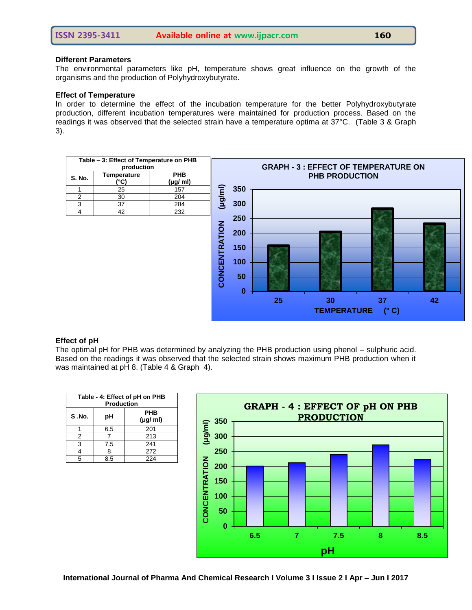#### **Different Parameters**

The environmental parameters like pH, temperature shows great influence on the growth of the organisms and the production of Polyhydroxybutyrate.

#### **Effect of Temperature**

In order to determine the effect of the incubation temperature for the better Polyhydroxybutyrate production, different incubation temperatures were maintained for production process. Based on the readings it was observed that the selected strain have a temperature optima at 37°C. (Table 3 & Graph 3).



# **Effect of pH**

The optimal pH for PHB was determined by analyzing the PHB production using phenol – sulphuric acid. Based on the readings it was observed that the selected strain shows maximum PHB production when it was maintained at pH 8. (Table 4 & Graph 4).

| Table - 4: Effect of pH on PHB<br><b>Production</b> |     |                           |  |
|-----------------------------------------------------|-----|---------------------------|--|
| S.No.<br>рH                                         |     | <b>PHB</b><br>$(\mu q/m)$ |  |
|                                                     | 6.5 | 201                       |  |
| 2                                                   |     | 213                       |  |
| 3                                                   | 7.5 | 241                       |  |
| 4                                                   | 8   | 272                       |  |
| 5                                                   | 8.5 | 224                       |  |

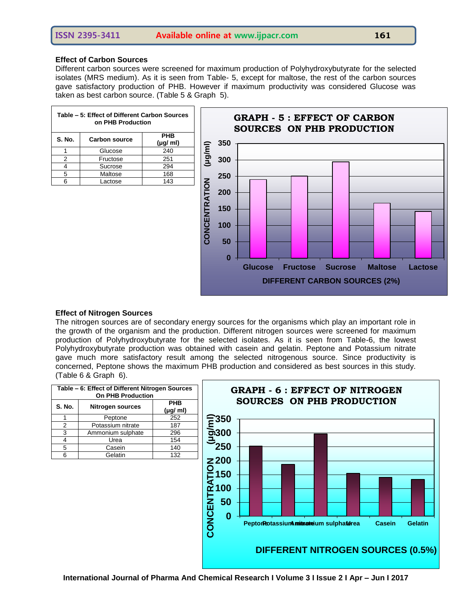# **Effect of Carbon Sources**

Different carbon sources were screened for maximum production of Polyhydroxybutyrate for the selected isolates (MRS medium). As it is seen from Table- 5, except for maltose, the rest of the carbon sources gave satisfactory production of PHB. However if maximum productivity was considered Glucose was taken as best carbon source. (Table 5 & Graph 5).

| Table - 5: Effect of Different Carbon Sources<br>on PHB Production |          |                           |  |
|--------------------------------------------------------------------|----------|---------------------------|--|
| <b>S. No.</b><br><b>Carbon source</b>                              |          | <b>PHB</b><br>$(\mu g/m)$ |  |
|                                                                    | Glucose  | 240                       |  |
| 2                                                                  | Fructose | 251                       |  |
|                                                                    | Sucrose  | 294                       |  |
| 5                                                                  | Maltose  | 168                       |  |
|                                                                    | Lactose  | 143                       |  |



# **Effect of Nitrogen Sources**

The nitrogen sources are of secondary energy sources for the organisms which play an important role in the growth of the organism and the production. Different nitrogen sources were screened for maximum production of Polyhydroxybutyrate for the selected isolates. As it is seen from Table-6, the lowest Polyhydroxybutyrate production was obtained with casein and gelatin. Peptone and Potassium nitrate gave much more satisfactory result among the selected nitrogenous source. Since productivity is concerned, Peptone shows the maximum PHB production and considered as best sources in this study. (Table 6 & Graph 6).

| Table - 6: Effect of Different Nitrogen Sources<br><b>On PHB Production</b> |                   |                           |  |
|-----------------------------------------------------------------------------|-------------------|---------------------------|--|
| <b>S. No.</b><br><b>Nitrogen sources</b>                                    |                   | <b>PHB</b><br>$(\mu g/m)$ |  |
|                                                                             | Peptone           | 252                       |  |
| 2                                                                           | Potassium nitrate | 187                       |  |
| 3                                                                           | Ammonium sulphate | 296                       |  |
|                                                                             | Urea              | 154                       |  |
| 5                                                                           | Casein            | 140                       |  |
| ิค                                                                          | Gelatin           | 132                       |  |

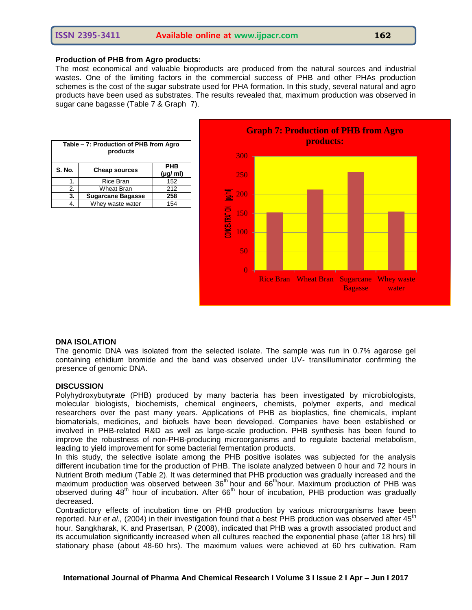# **ISSN 2395-3411 Available online at www.ijpacr.com 162**

#### **Production of PHB from Agro products:**

The most economical and valuable bioproducts are produced from the natural sources and industrial wastes. One of the limiting factors in the commercial success of PHB and other PHAs production schemes is the cost of the sugar substrate used for PHA formation. In this study, several natural and agro products have been used as substrates. The results revealed that, maximum production was observed in sugar cane bagasse (Table 7 & Graph 7).

| Table - 7: Production of PHB from Agro<br>products |                          |                           |  |
|----------------------------------------------------|--------------------------|---------------------------|--|
| <b>S. No.</b>                                      | <b>Cheap sources</b>     | <b>PHB</b><br>$(\mu g/m)$ |  |
| 1.                                                 | Rice Bran                | 152                       |  |
| 2.                                                 | Wheat Bran               | 212                       |  |
| 3.                                                 | <b>Sugarcane Bagasse</b> | 258                       |  |
|                                                    | Whey waste water         | 154                       |  |



#### **DNA ISOLATION**

The genomic DNA was isolated from the selected isolate. The sample was run in 0.7% agarose gel containing ethidium bromide and the band was observed under UV- transilluminator confirming the presence of genomic DNA.

#### **DISCUSSION**

Polyhydroxybutyrate (PHB) produced by many bacteria has been investigated by microbiologists, molecular biologists, biochemists, chemical engineers, chemists, polymer experts, and medical researchers over the past many years. Applications of PHB as bioplastics, fine chemicals, implant biomaterials, medicines, and biofuels have been developed. Companies have been established or involved in PHB-related R&D as well as large-scale production. PHB synthesis has been found to improve the robustness of non-PHB-producing microorganisms and to regulate bacterial metabolism, leading to yield improvement for some bacterial fermentation products.

In this study, the selective isolate among the PHB positive isolates was subjected for the analysis different incubation time for the production of PHB. The isolate analyzed between 0 hour and 72 hours in Nutrient Broth medium (Table 2). It was determined that PHB production was gradually increased and the maximum production was observed between 36<sup>th</sup> hour and 66<sup>th</sup>hour. Maximum production of PHB was observed during 48<sup>th</sup> hour of incubation. After  $66<sup>th</sup>$  hour of incubation, PHB production was gradually decreased.

Contradictory effects of incubation time on PHB production by various microorganisms have been reported. Nur *et al.*, (2004) in their investigation found that a best PHB production was observed after 45<sup>th</sup> hour. Sangkharak, K. and Prasertsan, P (2008), indicated that PHB was a growth associated product and its accumulation significantly increased when all cultures reached the exponential phase (after 18 hrs) till stationary phase (about 48-60 hrs). The maximum values were achieved at 60 hrs cultivation. Ram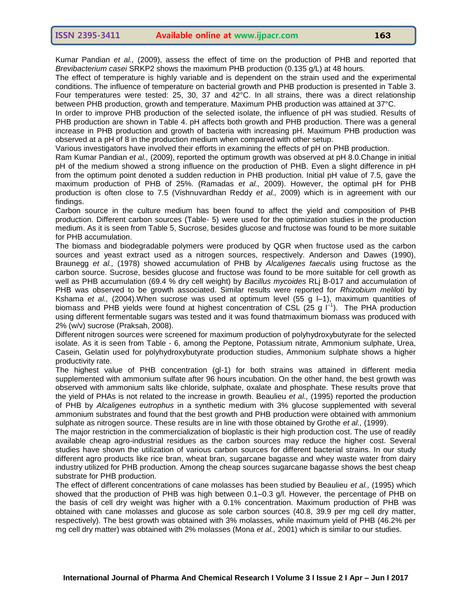Kumar Pandian *et al.,* (2009), assess the effect of time on the production of PHB and reported that *Brevibacterium casei* SRKP2 shows the maximum PHB production (0.135 g/L) at 48 hours.

The effect of temperature is highly variable and is dependent on the strain used and the experimental conditions. The influence of temperature on bacterial growth and PHB production is presented in Table 3. Four temperatures were tested: 25, 30, 37 and 42°C. In all strains, there was a direct relationship between PHB production, growth and temperature. Maximum PHB production was attained at 37°C.

In order to improve PHB production of the selected isolate, the influence of pH was studied. Results of PHB production are shown in Table 4. pH affects both growth and PHB production. There was a general increase in PHB production and growth of bacteria with increasing pH. Maximum PHB production was observed at a pH of 8 in the production medium when compared with other setup.

Various investigators have involved their efforts in examining the effects of pH on PHB production.

Ram Kumar Pandian *et al.,* (2009), reported the optimum growth was observed at pH 8.0.Change in initial pH of the medium showed a strong influence on the production of PHB. Even a slight difference in pH from the optimum point denoted a sudden reduction in PHB production. Initial pH value of 7.5, gave the maximum production of PHB of 25%. (Ramadas *et al.,* 2009). However, the optimal pH for PHB production is often close to 7.5 (Vishnuvardhan Reddy *et al.,* 2009) which is in agreement with our findings.

Carbon source in the culture medium has been found to affect the yield and composition of PHB production. Different carbon sources (Table- 5) were used for the optimization studies in the production medium. As it is seen from Table 5, Sucrose, besides glucose and fructose was found to be more suitable for PHB accumulation.

The biomass and biodegradable polymers were produced by QGR when fructose used as the carbon sources and yeast extract used as a nitrogen sources, respectively. Anderson and Dawes (1990), Braunegg *et al.,* (1978) showed accumulation of PHB by *Alcaligenes faecalis* using fructose as the carbon source. Sucrose, besides glucose and fructose was found to be more suitable for cell growth as well as PHB accumulation (69.4 % dry cell weight) by *Bacillus mycoides* RLj B-017 and accumulation of PHB was observed to be growth associated. Similar results were reported for *Rhizobium meliloti* by Kshama *et al.,* (2004).When sucrose was used at optimum level (55 g l–1), maximum quantities of biomass and PHB yields were found at highest concentration of CSL (25 g  $\overline{I}^1$ ). The PHA production using different fermentable sugars was tested and it was found thatmaximum biomass was produced with 2% (w/v) sucrose (Praksah, 2008).

Different nitrogen sources were screened for maximum production of polyhydroxybutyrate for the selected isolate. As it is seen from Table - 6, among the Peptone, Potassium nitrate, Ammonium sulphate, Urea, Casein, Gelatin used for polyhydroxybutyrate production studies, Ammonium sulphate shows a higher productivity rate.

The highest value of PHB concentration (gl-1) for both strains was attained in different media supplemented with ammonium sulfate after 96 hours incubation. On the other hand, the best growth was observed with ammonium salts like chloride, sulphate, oxalate and phosphate. These results prove that the yield of PHAs is not related to the increase in growth. Beaulieu *et al.,* (1995) reported the production of PHB by *Alcaligenes eutrophus* in a synthetic medium with 3% glucose supplemented with several ammonium substrates and found that the best growth and PHB production were obtained with ammonium sulphate as nitrogen source. These results are in line with those obtained by Grothe *et al.,* (1999).

The major restriction in the commercialization of bioplastic is their high production cost. The use of readily available cheap agro-industrial residues as the carbon sources may reduce the higher cost. Several studies have shown the utilization of various carbon sources for different bacterial strains. In our study different agro products like rice bran, wheat bran, sugarcane bagasse and whey waste water from dairy industry utilized for PHB production. Among the cheap sources sugarcane bagasse shows the best cheap substrate for PHB production.

The effect of different concentrations of cane molasses has been studied by Beaulieu *et al.,* (1995) which showed that the production of PHB was high between 0.1–0.3 g/l. However, the percentage of PHB on the basis of cell dry weight was higher with a 0.1% concentration. Maximum production of PHB was obtained with cane molasses and glucose as sole carbon sources (40.8, 39.9 per mg cell dry matter, respectively). The best growth was obtained with 3% molasses, while maximum yield of PHB (46.2% per mg cell dry matter) was obtained with 2% molasses (Mona *et al.,* 2001) which is similar to our studies.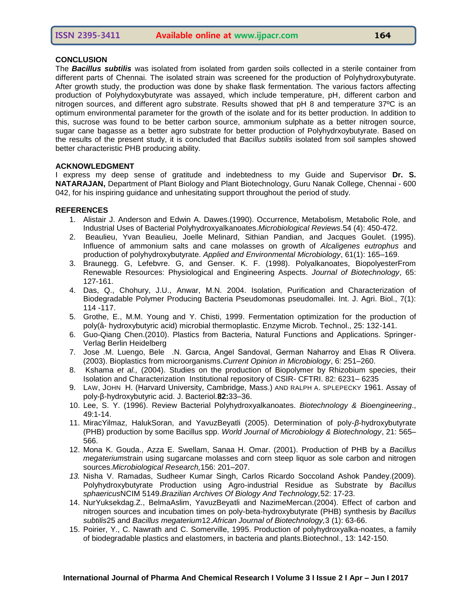# **CONCLUSION**

The *Bacillus subtilis* was isolated from isolated from garden soils collected in a sterile container from different parts of Chennai. The isolated strain was screened for the production of Polyhydroxybutyrate. After growth study, the production was done by shake flask fermentation. The various factors affecting production of Polyhydoxybutyrate was assayed, which include temperature, pH, different carbon and nitrogen sources, and different agro substrate. Results showed that pH 8 and temperature 37ºC is an optimum environmental parameter for the growth of the isolate and for its better production. In addition to this, sucrose was found to be better carbon source, ammonium sulphate as a better nitrogen source, sugar cane bagasse as a better agro substrate for better production of Polyhydrxoybutyrate. Based on the results of the present study, it is concluded that *Bacillus subtilis* isolated from soil samples showed better characteristic PHB producing ability.

#### **ACKNOWLEDGMENT**

I express my deep sense of gratitude and indebtedness to my Guide and Supervisor **Dr. S. NATARAJAN,** Department of Plant Biology and Plant Biotechnology, Guru Nanak College, Chennai - 600 042, for his inspiring guidance and unhesitating support throughout the period of study.

#### **REFERENCES**

- 1. Alistair J. Anderson and Edwin A. Dawes.(1990). Occurrence, Metabolism, Metabolic Role, and Industrial Uses of Bacterial Polyhydroxyalkanoates.*Microbiological Reviews*.54 (4): 450-472.
- 2. Beaulieu, Yvan Beaulieu, Joelle Melinard, Sithian Pandian, and Jacques Goulet. (1995). Influence of ammonium salts and cane molasses on growth of *Alcaligenes eutrophus* and production of polyhydroxybutyrate. *Applied and Environmental Microbiology*, 61(1): 165–169.
- 3. Braunegg. G, Lefebvre. G, and Genser. K. F. (1998). Polyalkanoates, BiopolyesterFrom Renewable Resources: Physiological and Engineering Aspects. *Journal of Biotechnology*, 65: 127-161.
- 4. Das, Q., Chohury, J.U., Anwar, M.N. 2004. Isolation, Purification and Characterization of Biodegradable Polymer Producing Bacteria Pseudomonas pseudomallei. Int. J. Agri. Biol., 7(1): 114 -117.
- 5. Grothe, E., M.M. Young and Y. Chisti, 1999. Fermentation optimization for the production of poly(â- hydroxybutyric acid) microbial thermoplastic. Enzyme Microb. Technol., 25: 132-141.
- 6. Guo-Qiang Chen.(2010). Plastics from Bacteria, Natural Functions and Applications. Springer-Verlag Berlin Heidelberg
- 7. Jose .M. Luengo, Bele .N. Garcıa, Angel Sandoval, German Naharroy and Elıas R Olivera. (2003). Bioplastics from microorganisms.*Current Opinion in Microbiology*, 6: 251–260.
- 8. Kshama *et al.,* (2004). Studies on the production of Biopolymer by Rhizobium species, their Isolation and Characterization Institutional repository of CSIR- CFTRI. 82: 6231– 6235
- 9. LAW, JOHN H. (Harvard University, Cambridge, Mass.) AND RALPH A. SPLEPECKY 1961. Assay of poly-β-hydroxybutyric acid. J. Bacteriol.**82:**33–36.
- 10. Lee, S. Y. (1996). Review Bacterial Polyhydroxyalkanoates. *Biotechnology & Bioengineering*., 49:1-14.
- 11. MiracYilmaz, HalukSoran, and YavuzBeyatli (2005). Determination of poly-*β*-hydroxybutyrate (PHB) production by some Bacillus spp. *World Journal of Microbiology & Biotechnology*, 21: 565– 566.
- 12. Mona K. Gouda., Azza E. Swellam, Sanaa H. Omar. (2001). Production of PHB by a *Bacillus megaterium*strain using sugarcane molasses and corn steep liquor as sole carbon and nitrogen sources.*Microbiological Research,*156: 201–207.
- *13.* Nisha V. Ramadas, Sudheer Kumar Singh, Carlos Ricardo Soccoland Ashok Pandey.(2009). Polyhydroxybutyrate Production using Agro-industrial Residue as Substrate by *Bacillus sphaericus*NCIM 5149.*Brazilian Archives Of Biology And Technology,*52: 17-23.
- 14. NurYuksekdag.Z., BelmaAslim, YavuzBeyatli and NazimeMercan.(2004). Effect of carbon and nitrogen sources and incubation times on poly-beta-hydroxybutyrate (PHB) synthesis by *Bacillus subtilis*25 and *Bacillus megaterium*12.*African Journal of Biotechnology,*3 (1): 63-66.
- 15. Poirier, Y., C. Nawrath and C. Somerville, 1995. Production of polyhydroxyalka-noates, a family of biodegradable plastics and elastomers, in bacteria and plants.Biotechnol., 13: 142-150.